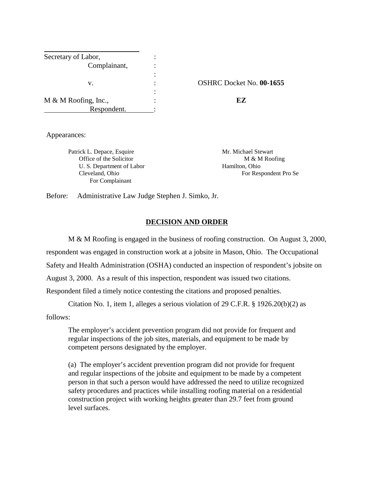| Secretary of Labor,  |                |                                 |
|----------------------|----------------|---------------------------------|
| Complainant,         |                |                                 |
|                      | ٠              |                                 |
| v.                   | ٠              | <b>OSHRC Docket No. 00-1655</b> |
|                      | ٠<br>$\bullet$ |                                 |
| M & M Roofing, Inc., | ٠              | EZ                              |
| Respondent.          |                |                                 |

Appearances:

Patrick L. Depace, Esquire Mr. Michael Stewart Office of the Solicitor M & M Roofing U. S. Department of Labor Hamilton, Ohio For Complainant

Cleveland, Ohio For Respondent Pro Se

Before: Administrative Law Judge Stephen J. Simko, Jr.

## **DECISION AND ORDER**

M & M Roofing is engaged in the business of roofing construction. On August 3, 2000, respondent was engaged in construction work at a jobsite in Mason, Ohio. The Occupational Safety and Health Administration (OSHA) conducted an inspection of respondent's jobsite on August 3, 2000. As a result of this inspection, respondent was issued two citations. Respondent filed a timely notice contesting the citations and proposed penalties.

Citation No. 1, item 1, alleges a serious violation of 29 C.F.R. § 1926.20(b)(2) as

follows:

The employer's accident prevention program did not provide for frequent and regular inspections of the job sites, materials, and equipment to be made by competent persons designated by the employer.

(a) The employer's accident prevention program did not provide for frequent and regular inspections of the jobsite and equipment to be made by a competent person in that such a person would have addressed the need to utilize recognized safety procedures and practices while installing roofing material on a residential construction project with working heights greater than 29.7 feet from ground level surfaces.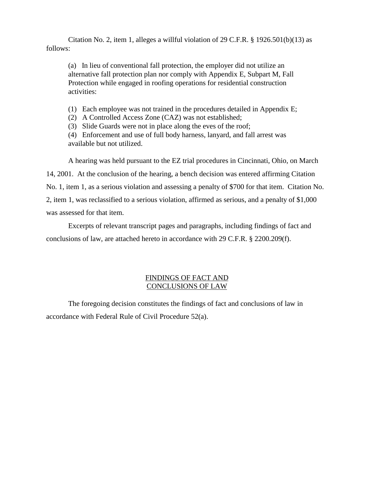Citation No. 2, item 1, alleges a willful violation of 29 C.F.R. § 1926.501(b)(13) as follows:

(a) In lieu of conventional fall protection, the employer did not utilize an alternative fall protection plan nor comply with Appendix E, Subpart M, Fall Protection while engaged in roofing operations for residential construction activities:

(1) Each employee was not trained in the procedures detailed in Appendix E;

(2) A Controlled Access Zone (CAZ) was not established;

(3) Slide Guards were not in place along the eves of the roof;

(4) Enforcement and use of full body harness, lanyard, and fall arrest was available but not utilized.

A hearing was held pursuant to the EZ trial procedures in Cincinnati, Ohio, on March

14, 2001. At the conclusion of the hearing, a bench decision was entered affirming Citation No. 1, item 1, as a serious violation and assessing a penalty of \$700 for that item. Citation No. 2, item 1, was reclassified to a serious violation, affirmed as serious, and a penalty of \$1,000 was assessed for that item.

Excerpts of relevant transcript pages and paragraphs, including findings of fact and conclusions of law, are attached hereto in accordance with 29 C.F.R. § 2200.209(f).

## FINDINGS OF FACT AND CONCLUSIONS OF LAW

The foregoing decision constitutes the findings of fact and conclusions of law in accordance with Federal Rule of Civil Procedure 52(a).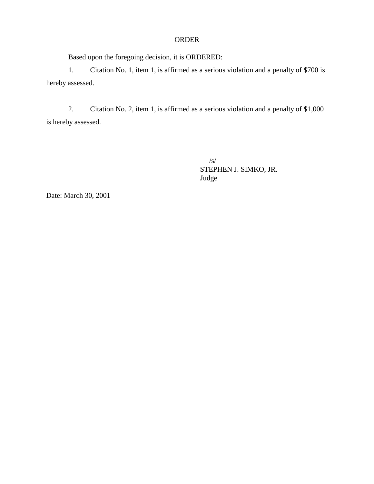## **ORDER**

Based upon the foregoing decision, it is ORDERED:

1. Citation No. 1, item 1, is affirmed as a serious violation and a penalty of \$700 is hereby assessed.

2. Citation No. 2, item 1, is affirmed as a serious violation and a penalty of \$1,000 is hereby assessed.

> /s/ STEPHEN J. SIMKO, JR. Judge

Date: March 30, 2001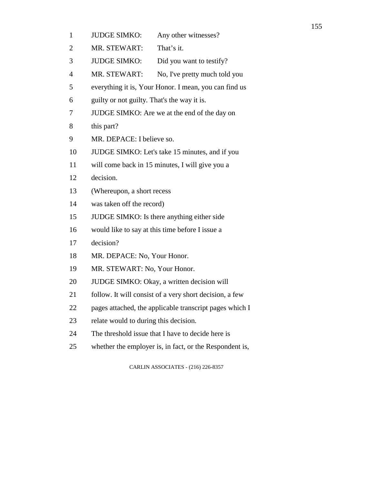- 1 JUDGE SIMKO: Any other witnesses?
- 2 MR. STEWART: That's it.
- 3 JUDGE SIMKO: Did you want to testify?
- 4 MR. STEWART: No, I've pretty much told you
- 5 everything it is, Your Honor. I mean, you can find us
- 6 guilty or not guilty. That's the way it is.
- 7 JUDGE SIMKO: Are we at the end of the day on
- 8 this part?
- 9 MR. DEPACE: I believe so.
- 10 JUDGE SIMKO: Let's take 15 minutes, and if you
- 11 will come back in 15 minutes, I will give you a
- 12 decision.
- 13 (Whereupon, a short recess
- 14 was taken off the record)
- 15 JUDGE SIMKO: Is there anything either side
- 16 would like to say at this time before I issue a
- 17 decision?
- 18 MR. DEPACE: No, Your Honor.
- 19 MR. STEWART: No, Your Honor.
- 20 JUDGE SIMKO: Okay, a written decision will
- 21 follow. It will consist of a very short decision, a few
- 22 pages attached, the applicable transcript pages which I
- 23 relate would to during this decision.
- 24 The threshold issue that I have to decide here is
- 25 whether the employer is, in fact, or the Respondent is,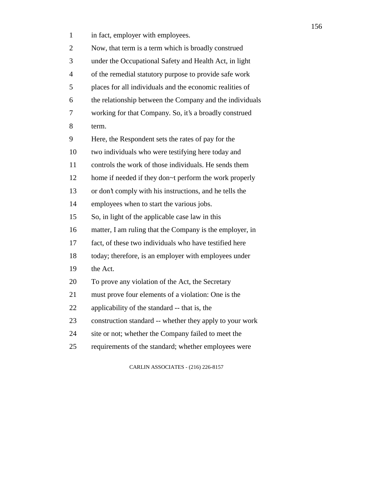| $\mathbf{1}$ | in fact, employer with employees.                        |
|--------------|----------------------------------------------------------|
| 2            | Now, that term is a term which is broadly construed      |
| 3            | under the Occupational Safety and Health Act, in light   |
| 4            | of the remedial statutory purpose to provide safe work   |
| 5            | places for all individuals and the economic realities of |
| 6            | the relationship between the Company and the individuals |
| 7            | working for that Company. So, it's a broadly construed   |
| 8            | term.                                                    |
| 9            | Here, the Respondent sets the rates of pay for the       |
| 10           | two individuals who were testifying here today and       |
| 11           | controls the work of those individuals. He sends them    |
| 12           | home if needed if they don~t perform the work properly   |
| 13           | or don't comply with his instructions, and he tells the  |
| 14           | employees when to start the various jobs.                |
| 15           | So, in light of the applicable case law in this          |
| 16           | matter, I am ruling that the Company is the employer, in |
| 17           | fact, of these two individuals who have testified here   |
| 18           | today; therefore, is an employer with employees under    |
| 19           | the Act.                                                 |
| 20           | To prove any violation of the Act, the Secretary         |
| 21           | must prove four elements of a violation: One is the      |
| 22           | applicability of the standard -- that is, the            |
| 23           | construction standard -- whether they apply to your work |
| 24           | site or not; whether the Company failed to meet the      |
| 25           | requirements of the standard; whether employees were     |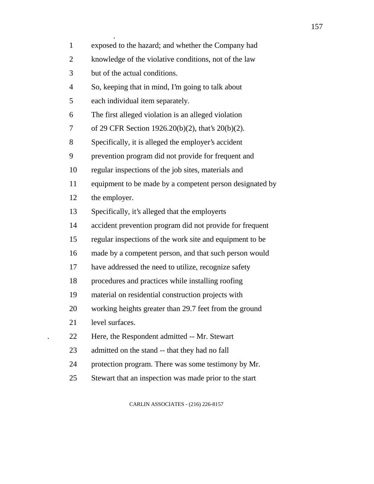| $\mathbf{1}$   | exposed to the hazard; and whether the Company had       |
|----------------|----------------------------------------------------------|
| $\overline{2}$ | knowledge of the violative conditions, not of the law    |
| 3              | but of the actual conditions.                            |
| $\overline{4}$ | So, keeping that in mind, I'm going to talk about        |
| 5              | each individual item separately.                         |
| 6              | The first alleged violation is an alleged violation      |
| 7              | of 29 CFR Section 1926.20(b)(2), that's 20(b)(2).        |
| 8              | Specifically, it is alleged the employer's accident      |
| 9              | prevention program did not provide for frequent and      |
| 10             | regular inspections of the job sites, materials and      |
| 11             | equipment to be made by a competent person designated by |
| 12             | the employer.                                            |
| 13             | Specifically, it's alleged that the employerts           |
| 14             | accident prevention program did not provide for frequent |
| 15             | regular inspections of the work site and equipment to be |
| 16             | made by a competent person, and that such person would   |
| 17             | have addressed the need to utilize, recognize safety     |
| 18             | procedures and practices while installing roofing        |
| 19             | material on residential construction projects with       |
| 20             | working heights greater than 29.7 feet from the ground   |
| 21             | level surfaces.                                          |
| 22             | Here, the Respondent admitted -- Mr. Stewart             |
| 23             | admitted on the stand -- that they had no fall           |
| 24             | protection program. There was some testimony by Mr.      |
| 25             | Stewart that an inspection was made prior to the start   |
|                |                                                          |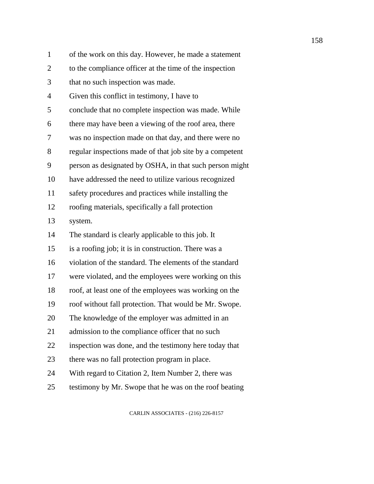| $\mathbf{1}$   | of the work on this day. However, he made a statement    |
|----------------|----------------------------------------------------------|
| $\overline{2}$ | to the compliance officer at the time of the inspection  |
| 3              | that no such inspection was made.                        |
| 4              | Given this conflict in testimony, I have to              |
| 5              | conclude that no complete inspection was made. While     |
| 6              | there may have been a viewing of the roof area, there    |
| 7              | was no inspection made on that day, and there were no    |
| 8              | regular inspections made of that job site by a competent |
| 9              | person as designated by OSHA, in that such person might  |
| 10             | have addressed the need to utilize various recognized    |
| 11             | safety procedures and practices while installing the     |
| 12             | roofing materials, specifically a fall protection        |
| 13             | system.                                                  |
| 14             | The standard is clearly applicable to this job. It       |
| 15             | is a roofing job; it is in construction. There was a     |
| 16             | violation of the standard. The elements of the standard  |
| 17             | were violated, and the employees were working on this    |
| 18             | roof, at least one of the employees was working on the   |
| 19             | roof without fall protection. That would be Mr. Swope.   |
| 20             | The knowledge of the employer was admitted in an         |
| 21             | admission to the compliance officer that no such         |
| 22             | inspection was done, and the testimony here today that   |
| 23             | there was no fall protection program in place.           |
| 24             | With regard to Citation 2, Item Number 2, there was      |
| 25             | testimony by Mr. Swope that he was on the roof beating   |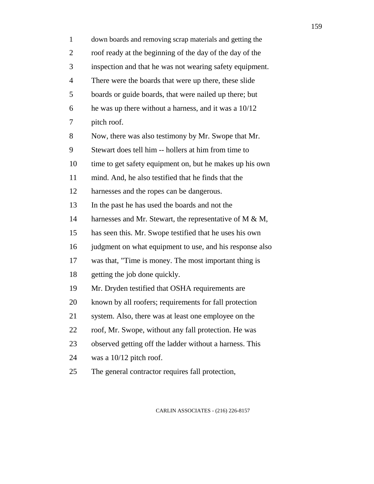| $\mathbf{1}$   | down boards and removing scrap materials and getting the   |
|----------------|------------------------------------------------------------|
| $\overline{2}$ | roof ready at the beginning of the day of the day of the   |
| 3              | inspection and that he was not wearing safety equipment.   |
| 4              | There were the boards that were up there, these slide      |
| 5              | boards or guide boards, that were nailed up there; but     |
| 6              | he was up there without a harness, and it was a $10/12$    |
| 7              | pitch roof.                                                |
| 8              | Now, there was also testimony by Mr. Swope that Mr.        |
| 9              | Stewart does tell him -- hollers at him from time to       |
| 10             | time to get safety equipment on, but he makes up his own   |
| 11             | mind. And, he also testified that he finds that the        |
| 12             | harnesses and the ropes can be dangerous.                  |
| 13             | In the past he has used the boards and not the             |
| 14             | harnesses and Mr. Stewart, the representative of M $\&$ M, |
| 15             | has seen this. Mr. Swope testified that he uses his own    |
| 16             | judgment on what equipment to use, and his response also   |
| 17             | was that, "Time is money. The most important thing is      |
| 18             | getting the job done quickly.                              |
| 19             | Mr. Dryden testified that OSHA requirements are            |
| 20             | known by all roofers; requirements for fall protection     |
| 21             | system. Also, there was at least one employee on the       |
| 22             | roof, Mr. Swope, without any fall protection. He was       |
| 23             | observed getting off the ladder without a harness. This    |
| 24             | was a 10/12 pitch roof.                                    |
|                |                                                            |

25 The general contractor requires fall protection,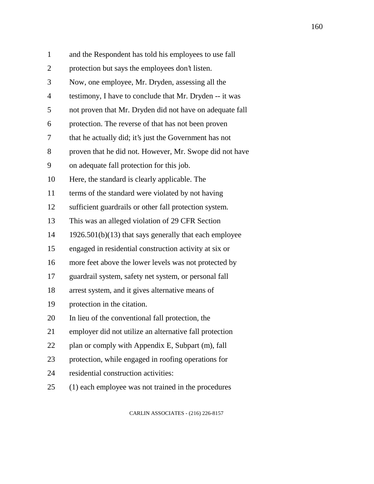| $\mathbf{1}$   | and the Respondent has told his employees to use fall    |
|----------------|----------------------------------------------------------|
| $\overline{2}$ | protection but says the employees don't listen.          |
| 3              | Now, one employee, Mr. Dryden, assessing all the         |
| 4              | testimony, I have to conclude that Mr. Dryden -- it was  |
| 5              | not proven that Mr. Dryden did not have on adequate fall |
| 6              | protection. The reverse of that has not been proven      |
| 7              | that he actually did; it's just the Government has not   |
| 8              | proven that he did not. However, Mr. Swope did not have  |
| 9              | on adequate fall protection for this job.                |
| 10             | Here, the standard is clearly applicable. The            |
| 11             | terms of the standard were violated by not having        |
| 12             | sufficient guardrails or other fall protection system.   |
| 13             | This was an alleged violation of 29 CFR Section          |
| 14             | $1926.501(b)(13)$ that says generally that each employee |
| 15             | engaged in residential construction activity at six or   |
| 16             | more feet above the lower levels was not protected by    |
| 17             | guardrail system, safety net system, or personal fall    |
| 18             | arrest system, and it gives alternative means of         |
| 19             | protection in the citation.                              |
| 20             | In lieu of the conventional fall protection, the         |
| 21             | employer did not utilize an alternative fall protection  |
| 22             | plan or comply with Appendix E, Subpart (m), fall        |
| 23             | protection, while engaged in roofing operations for      |
| 24             | residential construction activities:                     |
| 25             | (1) each employee was not trained in the procedures      |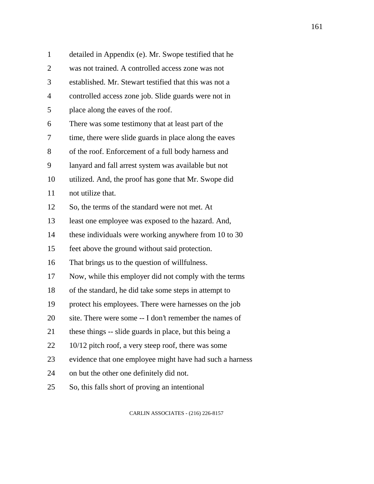| $\mathbf{1}$   | detailed in Appendix (e). Mr. Swope testified that he    |
|----------------|----------------------------------------------------------|
| $\overline{2}$ | was not trained. A controlled access zone was not        |
| 3              | established. Mr. Stewart testified that this was not a   |
| 4              | controlled access zone job. Slide guards were not in     |
| 5              | place along the eaves of the roof.                       |
| 6              | There was some testimony that at least part of the       |
| 7              | time, there were slide guards in place along the eaves   |
| 8              | of the roof. Enforcement of a full body harness and      |
| 9              | lanyard and fall arrest system was available but not     |
| 10             | utilized. And, the proof has gone that Mr. Swope did     |
| 11             | not utilize that.                                        |
| 12             | So, the terms of the standard were not met. At           |
| 13             | least one employee was exposed to the hazard. And,       |
| 14             | these individuals were working anywhere from 10 to 30    |
| 15             | feet above the ground without said protection.           |
| 16             | That brings us to the question of willfulness.           |
| 17             | Now, while this employer did not comply with the terms   |
| 18             | of the standard, he did take some steps in attempt to    |
| 19             | protect his employees. There were harnesses on the job   |
| 20             | site. There were some -- I don't remember the names of   |
| 21             | these things -- slide guards in place, but this being a  |
| 22             | 10/12 pitch roof, a very steep roof, there was some      |
| 23             | evidence that one employee might have had such a harness |
| 24             | on but the other one definitely did not.                 |
| 25             | So, this falls short of proving an intentional           |